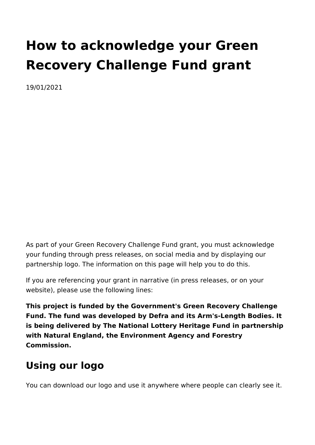# **How to acknowledge your Green Recovery Challenge Fund grant**

19/01/2021

As part of your Green Recovery Challenge Fund grant, you must acknowledge your funding through press releases, on social media and by displaying our partnership logo. The information on this page will help you to do this.

If you are referencing your grant in narrative (in press releases, or on your website), please use the following lines:

**This project is funded by the Government's Green Recovery Challenge Fund. The fund was developed by Defra and its Arm's-Length Bodies. It is being delivered by The National Lottery Heritage Fund in partnership with Natural England, the Environment Agency and Forestry Commission.**

# **Using our logo**

You can download our logo and use it anywhere where people can clearly see it.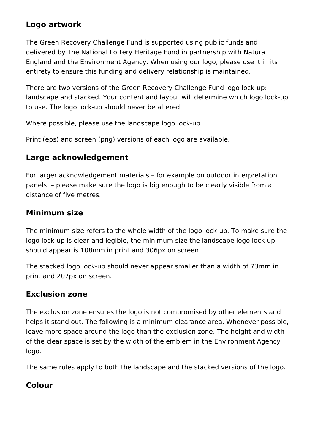### **Logo artwork**

The Green Recovery Challenge Fund is supported using public funds and delivered by The National Lottery Heritage Fund in partnership with Natural England and the Environment Agency. When using our logo, please use it in its entirety to ensure this funding and delivery relationship is maintained.

There are two versions of the Green Recovery Challenge Fund logo lock-up: landscape and stacked. Your content and layout will determine which logo lock-up to use. The logo lock-up should never be altered.

Where possible, please use the landscape logo lock-up.

Print (eps) and screen (png) versions of each logo are available.

### **Large acknowledgement**

For larger acknowledgement materials – for example on outdoor interpretation panels – please make sure the logo is big enough to be clearly visible from a distance of five metres.

### **Minimum size**

The minimum size refers to the whole width of the logo lock-up. To make sure the logo lock-up is clear and legible, the minimum size the landscape logo lock-up should appear is 108mm in print and 306px on screen.

The stacked logo lock-up should never appear smaller than a width of 73mm in print and 207px on screen.

### **Exclusion zone**

The exclusion zone ensures the logo is not compromised by other elements and helps it stand out. The following is a minimum clearance area. Whenever possible, leave more space around the logo than the exclusion zone. The height and width of the clear space is set by the width of the emblem in the Environment Agency logo.

The same rules apply to both the landscape and the stacked versions of the logo.

### **Colour**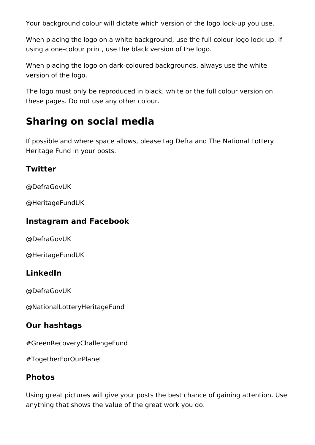Your background colour will dictate which version of the logo lock-up you use.

When placing the logo on a white background, use the full colour logo lock-up. If using a one-colour print, use the black version of the logo.

When placing the logo on dark-coloured backgrounds, always use the white version of the logo.

The logo must only be reproduced in black, white or the full colour version on these pages. Do not use any other colour.

# **Sharing on social media**

If possible and where space allows, please tag Defra and The National Lottery Heritage Fund in your posts.

### **Twitter**

@DefraGovUK

@HeritageFundUK

### **Instagram and Facebook**

@DefraGovUK

@HeritageFundUK

# **LinkedIn**

@DefraGovUK

@NationalLotteryHeritageFund

# **Our hashtags**

#GreenRecoveryChallengeFund

#TogetherForOurPlanet

# **Photos**

Using great pictures will give your posts the best chance of gaining attention. Use anything that shows the value of the great work you do.